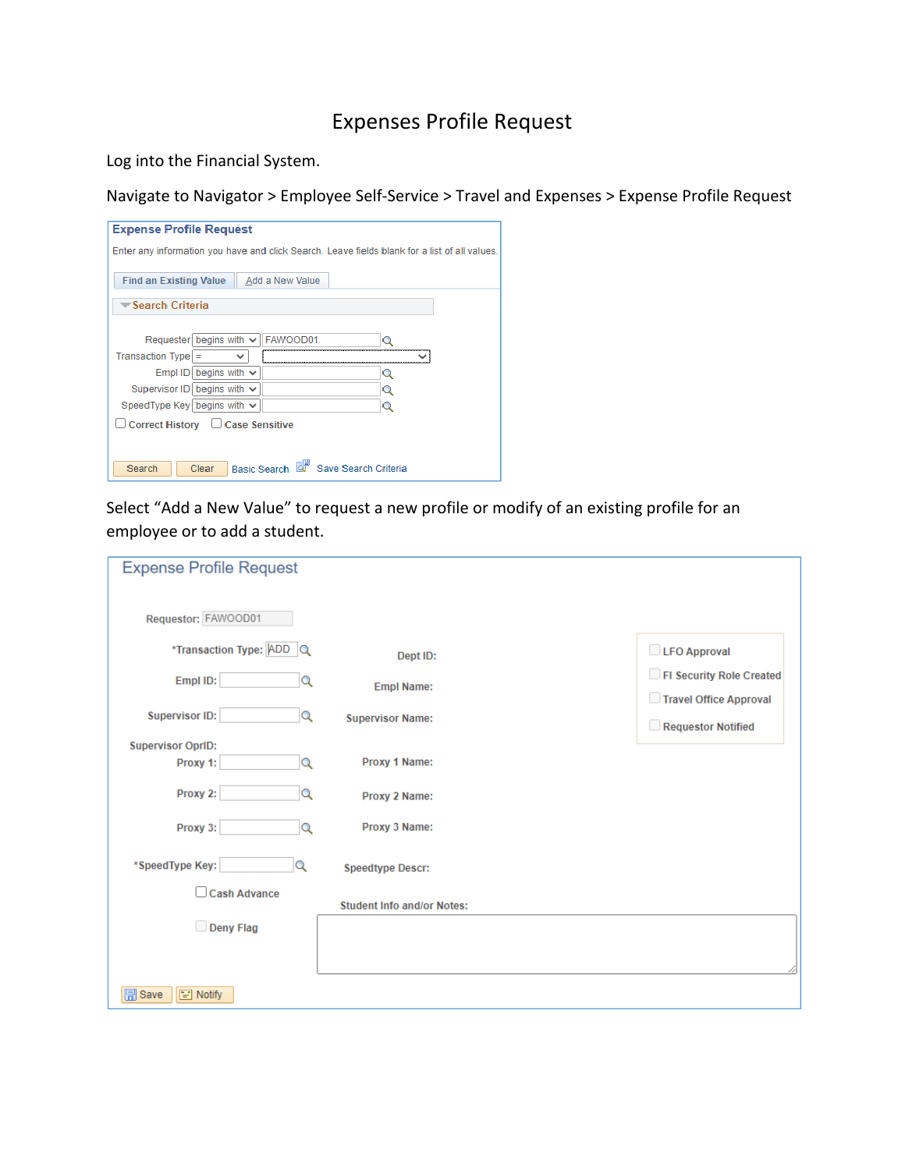## Expenses Profile Request

Log into the Financial System.

Navigate to Navigator > Employee Self‐Service > Travel and Expenses > Expense Profile Request

| <b>Expense Profile Request</b>                                                               |   |
|----------------------------------------------------------------------------------------------|---|
| Enter any information you have and click Search. Leave fields blank for a list of all values |   |
|                                                                                              |   |
| Add a New Value<br><b>Find an Existing Value</b>                                             |   |
|                                                                                              |   |
| $\blacktriangledown$ Search Criteria                                                         |   |
|                                                                                              |   |
| Requester begins with $\vee$<br>FAWOOD01                                                     |   |
| $Transaction Type$ =<br>◡                                                                    |   |
| begins with $\vee$<br>Empl ID                                                                | Q |
| Supervisor ID begins with $\vee$                                                             | Q |
| Speed Type Key begins with $\vee$                                                            | Q |
| □ Correct History □ Case Sensitive                                                           |   |
|                                                                                              |   |
|                                                                                              |   |
| Basic Search<br>Save Search Criteria<br>Search<br>Clear                                      |   |
|                                                                                              |   |

Select "Add a New Value" to request a new profile or modify of an existing profile for an employee or to add a student.

| <b>Expense Profile Request</b>         |                                   |                                                    |
|----------------------------------------|-----------------------------------|----------------------------------------------------|
| Requestor: FAWOOD01                    |                                   |                                                    |
| *Transaction Type: ADD Q               | Dept ID:                          | LFO Approval                                       |
| Empl ID:<br>Q                          | <b>Empl Name:</b>                 | FI Security Role Created<br>Travel Office Approval |
| <b>Supervisor ID:</b><br>$\alpha$      | <b>Supervisor Name:</b>           | Requestor Notified                                 |
| <b>Supervisor OprID:</b>               |                                   |                                                    |
| Proxy 1:<br>Q                          | Proxy 1 Name:                     |                                                    |
| Proxy 2:<br>Q                          | Proxy 2 Name:                     |                                                    |
| Proxy 3:<br>Q                          | Proxy 3 Name:                     |                                                    |
| *SpeedType Key:<br>Q                   | <b>Speedtype Descr:</b>           |                                                    |
| Cash Advance                           | <b>Student Info and/or Notes:</b> |                                                    |
| Deny Flag                              |                                   |                                                    |
|                                        |                                   |                                                    |
|                                        |                                   |                                                    |
| $\boxed{=}$ Save<br>$\boxed{=}$ Notify |                                   |                                                    |